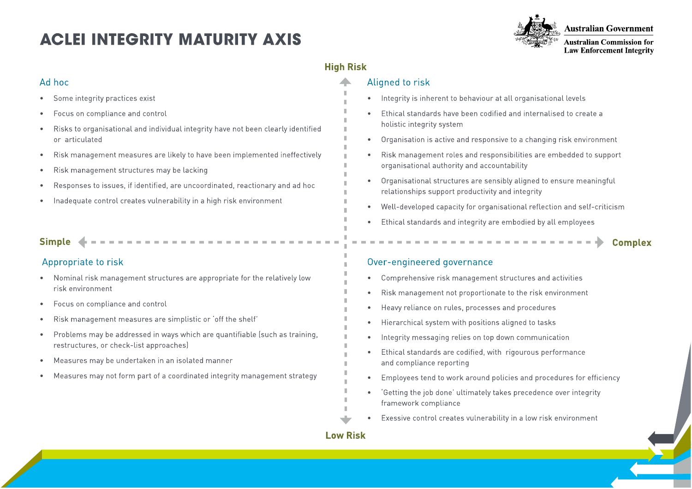# **ACLEI INTEGRITY MATURITY AXIS**



**Australian Government** 

**Australian Commission for Law Enforcement Integrity** 

# **High Risk**

n,

 $\mathbb{R}^n$  $\mathbb{R}^n$ 

H.

 $\mathbb{R}^2$  $\mathbb{R}^n$ 

H.

 $\mathbb{R}^2$ 

×

### Aligned to risk

- Integrity is inherent to behaviour at all organisational levels
- Ethical standards have been codified and internalised to create a holistic integrity system
- Organisation is active and responsive to a changing risk environment
- Risk management roles and responsibilities are embedded to support organisational authority and accountability
- Organisational structures are sensibly aligned to ensure meaningful relationships support productivity and integrity
- Well-developed capacity for organisational reflection and self-criticism

the contract of the contract of

Ethical standards and integrity are embodied by all employees

## **Complex**

## Over-engineered governance

- Comprehensive risk management structures and activities
- Risk management not proportionate to the risk environment
- Heavy reliance on rules, processes and procedures
- Hierarchical system with positions aligned to tasks
- Integrity messaging relies on top down communication
- Ethical standards are codified, with rigourous performance and compliance reporting
- Employees tend to work around policies and procedures for efficiency
- 'Getting the job done' ultimately takes precedence over integrity framework compliance
- Exessive control creates vulnerability in a low risk environment

- Some integrity practices exist
- Focus on compliance and control
- Risks to organisational and individual integrity have not been clearly identified or articulated
- Risk management measures are likely to have been implemented ineffectively
- Risk management structures may be lacking
- Responses to issues, if identified, are uncoordinated, reactionary and ad hoc
- Inadequate control creates vulnerability in a high risk environment

# **Simple**

Ad hoc

# Appropriate to risk

- Nominal risk management structures are appropriate for the relatively low risk environment
- Focus on compliance and control
- Risk management measures are simplistic or 'off the shelf'
- Problems may be addressed in ways which are quantifiable (such as training, restructures, or check-list approaches)
- Measures may be undertaken in an isolated manner
- Measures may not form part of a coordinated integrity management strategy

**Low Risk**